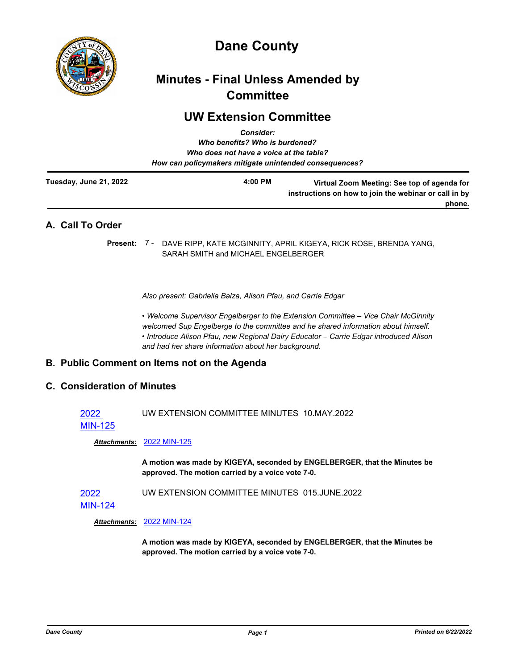

# **Dane County**

## **Minutes - Final Unless Amended by Committee**

## **UW Extension Committee**

| <b>Consider:</b><br>Who benefits? Who is burdened?<br>Who does not have a voice at the table?<br>How can policymakers mitigate unintended consequences? |  |                                                                                                                             |
|---------------------------------------------------------------------------------------------------------------------------------------------------------|--|-----------------------------------------------------------------------------------------------------------------------------|
| <b>Tuesday, June 21, 2022</b>                                                                                                                           |  | $4:00$ PM<br>Virtual Zoom Meeting: See top of agenda for<br>instructions on how to join the webinar or call in by<br>phone. |
| A. Call To Order                                                                                                                                        |  |                                                                                                                             |
| Present: 7 -                                                                                                                                            |  | DAVE RIPP, KATE MCGINNITY, APRIL KIGEYA, RICK ROSE, BRENDA YANG,<br>SARAH SMITH and MICHAEL ENGELBERGER                     |

*Also present: Gabriella Balza, Alison Pfau, and Carrie Edgar* 

*• Welcome Supervisor Engelberger to the Extension Committee – Vice Chair McGinnity welcomed Sup Engelberge to the committee and he shared information about himself. • Introduce Alison Pfau, new Regional Dairy Educator – Carrie Edgar introduced Alison and had her share information about her background.*

### **B. Public Comment on Items not on the Agenda**

### **C. Consideration of Minutes**

2022 UW EXTENSION COMMITTEE MINUTES 10.MAY.2022

[MIN-125](http://dane.legistar.com/gateway.aspx?m=l&id=/matter.aspx?key=23111)

*Attachments:* [2022 MIN-125](http://dane.legistar.com/gateway.aspx?M=F&ID=a5a215e8-5263-45de-9330-d77ec24dcf71.pdf)

**A motion was made by KIGEYA, seconded by ENGELBERGER, that the Minutes be approved. The motion carried by a voice vote 7-0.**

2022 UW EXTENSION COMMITTEE MINUTES 015.JUNE.2022

*Attachments:* [2022 MIN-124](http://dane.legistar.com/gateway.aspx?M=F&ID=5b06c57d-5d45-47b3-a6b4-c4f16d48626b.pdf)

**A motion was made by KIGEYA, seconded by ENGELBERGER, that the Minutes be approved. The motion carried by a voice vote 7-0.**

[MIN-124](http://dane.legistar.com/gateway.aspx?m=l&id=/matter.aspx?key=23110)